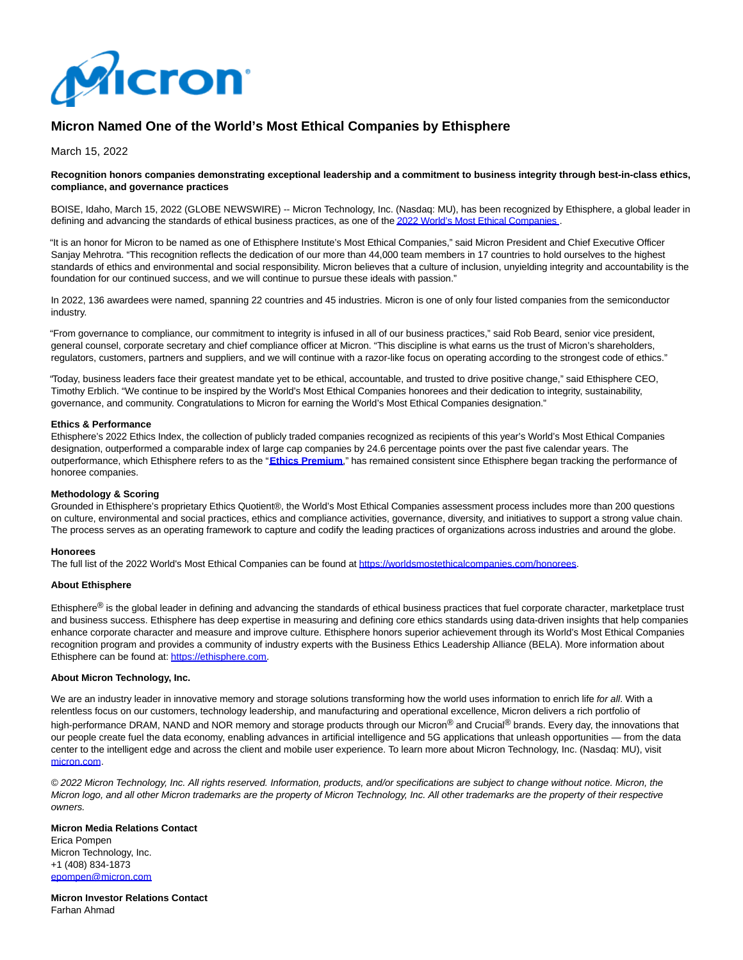

# **Micron Named One of the World's Most Ethical Companies by Ethisphere**

March 15, 2022

#### **Recognition honors companies demonstrating exceptional leadership and a commitment to business integrity through best-in-class ethics, compliance, and governance practices**

BOISE, Idaho, March 15, 2022 (GLOBE NEWSWIRE) -- Micron Technology, Inc. (Nasdaq: MU), has been recognized by Ethisphere, a global leader in defining and advancing the standards of ethical business practices, as one of th[e 2022 World's Most Ethical Companies](https://www.globenewswire.com/Tracker?data=c9hu3GTVpySC2av6jhXk5v6Y_DL9LS2A5W4bzHvGUD7JAXaXrVQGXaqToxKan_yrO9PVFkaJ6s6rztVSNiCxENTNjZ1Y3dUOeIWDalU-Dxthgu7NZ1x1a0YbHjrbnEG0G5qPbjI73sfxrHbCneATPQ==)

"It is an honor for Micron to be named as one of Ethisphere Institute's Most Ethical Companies," said Micron President and Chief Executive Officer Sanjay Mehrotra. "This recognition reflects the dedication of our more than 44,000 team members in 17 countries to hold ourselves to the highest standards of ethics and environmental and social responsibility. Micron believes that a culture of inclusion, unyielding integrity and accountability is the foundation for our continued success, and we will continue to pursue these ideals with passion."

In 2022, 136 awardees were named, spanning 22 countries and 45 industries. Micron is one of only four listed companies from the semiconductor industry.

"From governance to compliance, our commitment to integrity is infused in all of our business practices," said Rob Beard, senior vice president, general counsel, corporate secretary and chief compliance officer at Micron. "This discipline is what earns us the trust of Micron's shareholders, regulators, customers, partners and suppliers, and we will continue with a razor-like focus on operating according to the strongest code of ethics."

"Today, business leaders face their greatest mandate yet to be ethical, accountable, and trusted to drive positive change," said Ethisphere CEO, Timothy Erblich. "We continue to be inspired by the World's Most Ethical Companies honorees and their dedication to integrity, sustainability, governance, and community. Congratulations to Micron for earning the World's Most Ethical Companies designation."

#### **Ethics & Performance**

Ethisphere's 2022 Ethics Index, the collection of publicly traded companies recognized as recipients of this year's World's Most Ethical Companies designation, outperformed a comparable index of large cap companies by 24.6 percentage points over the past five calendar years. The outperformance, which Ethisphere refers to as the "**[Ethics Premium](https://www.globenewswire.com/Tracker?data=uYdhawyP6vqEPt2DE3RvLzDhTl9J4UFPNjoPImE3ee0CMiAcyDNUPEaptmo-8DNnhhIiHqHlo9jipU-fQt3L7EmVmtXizfR8BSnb1mWlTLQ=)**," has remained consistent since Ethisphere began tracking the performance of honoree companies.

### **Methodology & Scoring**

Grounded in Ethisphere's proprietary Ethics Quotient®, the World's Most Ethical Companies assessment process includes more than 200 questions on culture, environmental and social practices, ethics and compliance activities, governance, diversity, and initiatives to support a strong value chain. The process serves as an operating framework to capture and codify the leading practices of organizations across industries and around the globe.

## **Honorees**

The full list of the 2022 World's Most Ethical Companies can be found a[t https://worldsmostethicalcompanies.com/honorees.](https://www.globenewswire.com/Tracker?data=b4CJh0PQtBqneyK6TKGrDyz1CKNbFZaexHi07RyqxbWtXSFKYSD_hPJ63a1ojJCW46LSd9iTXbKzc2aJ2V0dSaXxlS2hZ6ltKgo5DODKILUDB0az9sPXz2wmCI5o41x1upisn_lRJ8K9G3e_E9wDvm91Bq-sEDB_nktLu-aHSvg=)

## **About Ethisphere**

Ethisphere<sup>®</sup> is the global leader in defining and advancing the standards of ethical business practices that fuel corporate character, marketplace trust and business success. Ethisphere has deep expertise in measuring and defining core ethics standards using data-driven insights that help companies enhance corporate character and measure and improve culture. Ethisphere honors superior achievement through its World's Most Ethical Companies recognition program and provides a community of industry experts with the Business Ethics Leadership Alliance (BELA). More information about Ethisphere can be found at[: https://ethisphere.com.](https://www.globenewswire.com/Tracker?data=b4CJh0PQtBqneyK6TKGrD_jQEsOD3F5Mq5O2g1m46uzgFM3ZF_HPYBavolryyV6_CcIczOFWSgPZXhIpPdteTqztbFx2cOribrNiNeG1GFU=)

## **About Micron Technology, Inc.**

We are an industry leader in innovative memory and storage solutions transforming how the world uses information to enrich life for all. With a relentless focus on our customers, technology leadership, and manufacturing and operational excellence, Micron delivers a rich portfolio of high-performance DRAM, NAND and NOR memory and storage products through our Micron® and Crucial® brands. Every day, the innovations that our people create fuel the data economy, enabling advances in artificial intelligence and 5G applications that unleash opportunities — from the data center to the intelligent edge and across the client and mobile user experience. To learn more about Micron Technology, Inc. (Nasdaq: MU), visit [micron.com.](https://www.globenewswire.com/Tracker?data=wGFThF9PjuXugTwsPnLCeJzct2CyGhiWXydqfkUwDiYWgI0YzQXHBqC9_tMQBmZ0ca7Z-HqLXUyvWQRi4bo2ow==)

© 2022 Micron Technology, Inc. All rights reserved. Information, products, and/or specifications are subject to change without notice. Micron, the Micron logo, and all other Micron trademarks are the property of Micron Technology, Inc. All other trademarks are the property of their respective owners.

#### **Micron Media Relations Contact** Erica Pompen Micron Technology, Inc. +1 (408) 834-1873 [epompen@micron.com](https://www.globenewswire.com/Tracker?data=mFy3T1WRbOygkxLyEXu0WO-Fs35aEu4u2q5yjp06DNS_Z6LfOaGC3aBfyDQSFbffmFRHb67tV-YWYXx1bScBz9kC8HiZKrElfKMRfLoaLrM=)

**Micron Investor Relations Contact** Farhan Ahmad